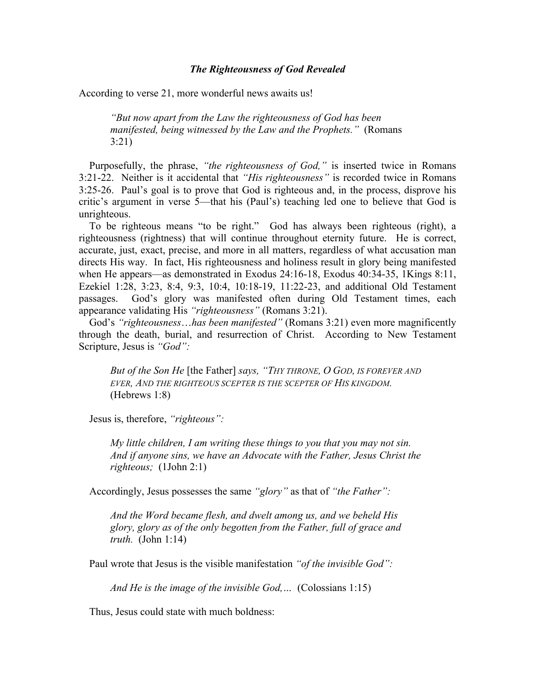## *The Righteousness of God Revealed*

According to verse 21, more wonderful news awaits us!

*"But now apart from the Law the righteousness of God has been manifested, being witnessed by the Law and the Prophets."* (Romans 3:21)

 Purposefully, the phrase, *"the righteousness of God,"* is inserted twice in Romans 3:21-22. Neither is it accidental that *"His righteousness"* is recorded twice in Romans 3:25-26. Paul's goal is to prove that God is righteous and, in the process, disprove his critic's argument in verse 5—that his (Paul's) teaching led one to believe that God is unrighteous.

 To be righteous means "to be right." God has always been righteous (right), a righteousness (rightness) that will continue throughout eternity future. He is correct, accurate, just, exact, precise, and more in all matters, regardless of what accusation man directs His way. In fact, His righteousness and holiness result in glory being manifested when He appears—as demonstrated in Exodus 24:16-18, Exodus 40:34-35, 1Kings 8:11, Ezekiel 1:28, 3:23, 8:4, 9:3, 10:4, 10:18-19, 11:22-23, and additional Old Testament passages. God's glory was manifested often during Old Testament times, each appearance validating His *"righteousness"* (Romans 3:21).

 God's *"righteousness*…*has been manifested"* (Romans 3:21) even more magnificently through the death, burial, and resurrection of Christ. According to New Testament Scripture, Jesus is *"God":*

*But of the Son He* [the Father] *says, "THY THRONE, O GOD, IS FOREVER AND EVER, AND THE RIGHTEOUS SCEPTER IS THE SCEPTER OF HIS KINGDOM.* (Hebrews 1:8)

Jesus is, therefore, *"righteous":*

*My little children, I am writing these things to you that you may not sin. And if anyone sins, we have an Advocate with the Father, Jesus Christ the righteous;* (1John 2:1)

Accordingly, Jesus possesses the same *"glory"* as that of *"the Father":*

*And the Word became flesh, and dwelt among us, and we beheld His glory, glory as of the only begotten from the Father, full of grace and truth.* (John 1:14)

Paul wrote that Jesus is the visible manifestation *"of the invisible God":*

*And He is the image of the invisible God,…* (Colossians 1:15)

Thus, Jesus could state with much boldness: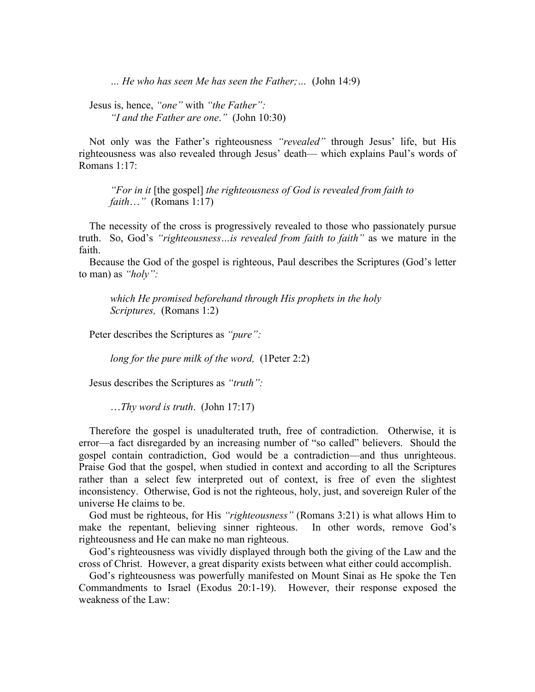*… He who has seen Me has seen the Father;…* (John 14:9)

 Jesus is, hence, *"one"* with *"the Father": "I and the Father are one*.*"* (John 10:30)

 Not only was the Father's righteousness *"revealed"* through Jesus' life, but His righteousness was also revealed through Jesus' death— which explains Paul's words of Romans 1:17:

*"For in it* [the gospel] *the righteousness of God is revealed from faith to faith*…*"* (Romans 1:17)

 The necessity of the cross is progressively revealed to those who passionately pursue truth. So, God's *"righteousness…is revealed from faith to faith"* as we mature in the faith.

 Because the God of the gospel is righteous, Paul describes the Scriptures (God's letter to man) as *"holy":*

*which He promised beforehand through His prophets in the holy Scriptures,* (Romans 1:2)

Peter describes the Scriptures as *"pure":*

*long for the pure milk of the word,* (1Peter 2:2)

Jesus describes the Scriptures as *"truth":*

…*Thy word is truth*. (John 17:17)

 Therefore the gospel is unadulterated truth, free of contradiction. Otherwise, it is error—a fact disregarded by an increasing number of "so called" believers. Should the gospel contain contradiction, God would be a contradiction—and thus unrighteous. Praise God that the gospel, when studied in context and according to all the Scriptures rather than a select few interpreted out of context, is free of even the slightest inconsistency. Otherwise, God is not the righteous, holy, just, and sovereign Ruler of the universe He claims to be.

 God must be righteous, for His *"righteousness"* (Romans 3:21) is what allows Him to make the repentant, believing sinner righteous. In other words, remove God's righteousness and He can make no man righteous.

 God's righteousness was vividly displayed through both the giving of the Law and the cross of Christ. However, a great disparity exists between what either could accomplish.

 God's righteousness was powerfully manifested on Mount Sinai as He spoke the Ten Commandments to Israel (Exodus 20:1-19). However, their response exposed the weakness of the Law: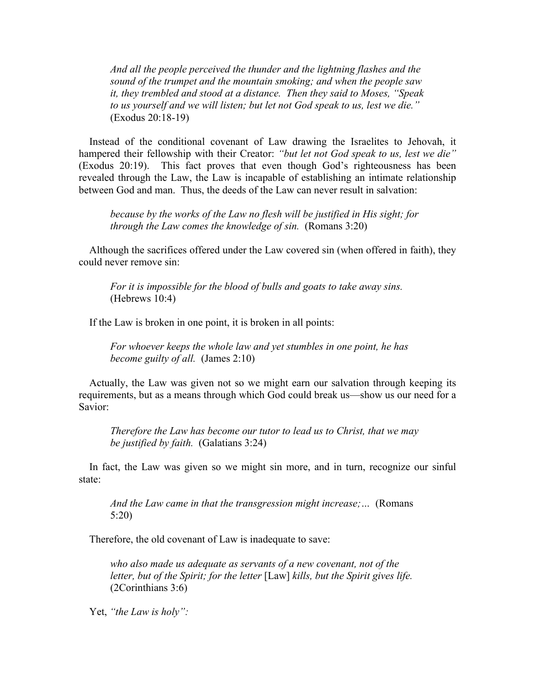*And all the people perceived the thunder and the lightning flashes and the sound of the trumpet and the mountain smoking; and when the people saw it, they trembled and stood at a distance. Then they said to Moses, "Speak to us yourself and we will listen; but let not God speak to us, lest we die."* (Exodus 20:18-19)

 Instead of the conditional covenant of Law drawing the Israelites to Jehovah, it hampered their fellowship with their Creator: *"but let not God speak to us, lest we die"* (Exodus 20:19). This fact proves that even though God's righteousness has been revealed through the Law, the Law is incapable of establishing an intimate relationship between God and man. Thus, the deeds of the Law can never result in salvation:

*because by the works of the Law no flesh will be justified in His sight; for through the Law comes the knowledge of sin.* (Romans 3:20)

 Although the sacrifices offered under the Law covered sin (when offered in faith), they could never remove sin:

*For it is impossible for the blood of bulls and goats to take away sins.* (Hebrews 10:4)

If the Law is broken in one point, it is broken in all points:

*For whoever keeps the whole law and yet stumbles in one point, he has become guilty of all.* (James 2:10)

 Actually, the Law was given not so we might earn our salvation through keeping its requirements, but as a means through which God could break us—show us our need for a Savior:

*Therefore the Law has become our tutor to lead us to Christ, that we may be justified by faith.* (Galatians 3:24)

 In fact, the Law was given so we might sin more, and in turn, recognize our sinful state:

*And the Law came in that the transgression might increase;…* (Romans 5:20)

Therefore, the old covenant of Law is inadequate to save:

*who also made us adequate as servants of a new covenant, not of the letter, but of the Spirit; for the letter* [Law] *kills, but the Spirit gives life.* (2Corinthians 3:6)

Yet, *"the Law is holy":*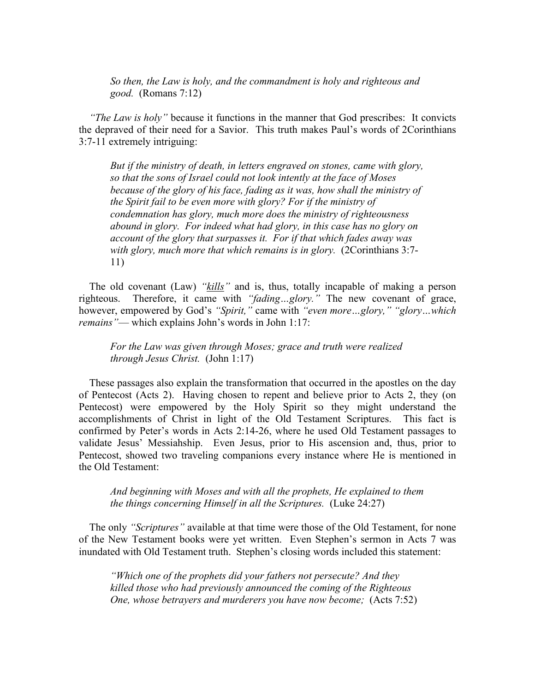*So then, the Law is holy, and the commandment is holy and righteous and good.* (Romans 7:12)

 *"The Law is holy"* because it functions in the manner that God prescribes: It convicts the depraved of their need for a Savior. This truth makes Paul's words of 2Corinthians 3:7-11 extremely intriguing:

*But if the ministry of death, in letters engraved on stones, came with glory, so that the sons of Israel could not look intently at the face of Moses because of the glory of his face, fading as it was, how shall the ministry of the Spirit fail to be even more with glory? For if the ministry of condemnation has glory, much more does the ministry of righteousness abound in glory. For indeed what had glory, in this case has no glory on account of the glory that surpasses it. For if that which fades away was with glory, much more that which remains is in glory.* (2Corinthians 3:7- 11)

 The old covenant (Law) *"kills"* and is, thus, totally incapable of making a person righteous. Therefore, it came with *"fading…glory."* The new covenant of grace, however, empowered by God's *"Spirit,"* came with *"even more…glory," "glory…which remains"*— which explains John's words in John 1:17:

*For the Law was given through Moses; grace and truth were realized through Jesus Christ.* (John 1:17)

 These passages also explain the transformation that occurred in the apostles on the day of Pentecost (Acts 2). Having chosen to repent and believe prior to Acts 2, they (on Pentecost) were empowered by the Holy Spirit so they might understand the accomplishments of Christ in light of the Old Testament Scriptures. This fact is confirmed by Peter's words in Acts 2:14-26, where he used Old Testament passages to validate Jesus' Messiahship. Even Jesus, prior to His ascension and, thus, prior to Pentecost, showed two traveling companions every instance where He is mentioned in the Old Testament:

*And beginning with Moses and with all the prophets, He explained to them the things concerning Himself in all the Scriptures.* (Luke 24:27)

 The only *"Scriptures"* available at that time were those of the Old Testament, for none of the New Testament books were yet written. Even Stephen's sermon in Acts 7 was inundated with Old Testament truth. Stephen's closing words included this statement:

*"Which one of the prophets did your fathers not persecute? And they killed those who had previously announced the coming of the Righteous One, whose betrayers and murderers you have now become;* (Acts 7:52)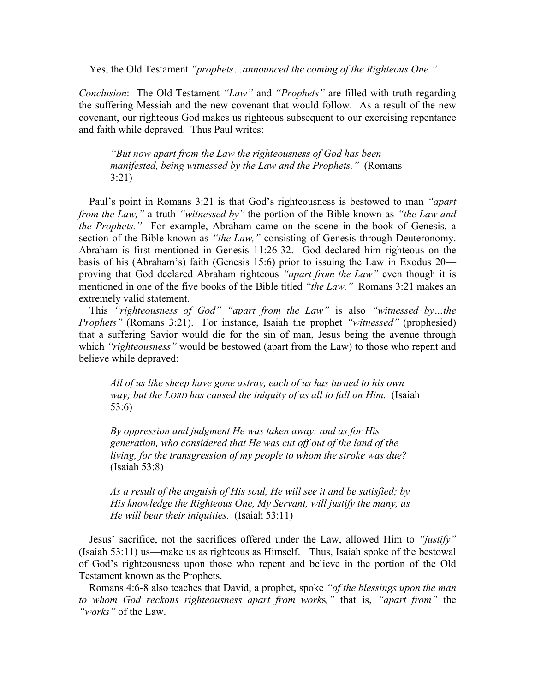Yes, the Old Testament *"prophets…announced the coming of the Righteous One."*

*Conclusion*: The Old Testament *"Law"* and *"Prophets"* are filled with truth regarding the suffering Messiah and the new covenant that would follow. As a result of the new covenant, our righteous God makes us righteous subsequent to our exercising repentance and faith while depraved. Thus Paul writes:

*"But now apart from the Law the righteousness of God has been manifested, being witnessed by the Law and the Prophets."* (Romans 3:21)

 Paul's point in Romans 3:21 is that God's righteousness is bestowed to man *"apart from the Law,"* a truth *"witnessed by"* the portion of the Bible known as *"the Law and the Prophets.*" For example, Abraham came on the scene in the book of Genesis, a section of the Bible known as *"the Law,"* consisting of Genesis through Deuteronomy. Abraham is first mentioned in Genesis 11:26-32. God declared him righteous on the basis of his (Abraham's) faith (Genesis 15:6) prior to issuing the Law in Exodus 20 proving that God declared Abraham righteous *"apart from the Law"* even though it is mentioned in one of the five books of the Bible titled *"the Law."* Romans 3:21 makes an extremely valid statement.

 This *"righteousness of God" "apart from the Law"* is also *"witnessed by…the Prophets"* (Romans 3:21). For instance, Isaiah the prophet *"witnessed"* (prophesied) that a suffering Savior would die for the sin of man, Jesus being the avenue through which *"righteousness"* would be bestowed (apart from the Law) to those who repent and believe while depraved:

*All of us like sheep have gone astray, each of us has turned to his own way; but the LORD has caused the iniquity of us all to fall on Him.* (Isaiah 53:6)

*By oppression and judgment He was taken away; and as for His generation, who considered that He was cut off out of the land of the living, for the transgression of my people to whom the stroke was due?*  (Isaiah 53:8)

*As a result of the anguish of His soul, He will see it and be satisfied; by His knowledge the Righteous One, My Servant, will justify the many, as He will bear their iniquities.* (Isaiah 53:11)

 Jesus' sacrifice, not the sacrifices offered under the Law, allowed Him to *"justify"* (Isaiah 53:11) us—make us as righteous as Himself. Thus, Isaiah spoke of the bestowal of God's righteousness upon those who repent and believe in the portion of the Old Testament known as the Prophets.

 Romans 4:6-8 also teaches that David, a prophet, spoke *"of the blessings upon the man to whom God reckons righteousness apart from work*s*,"* that is, *"apart from"* the *"works"* of the Law.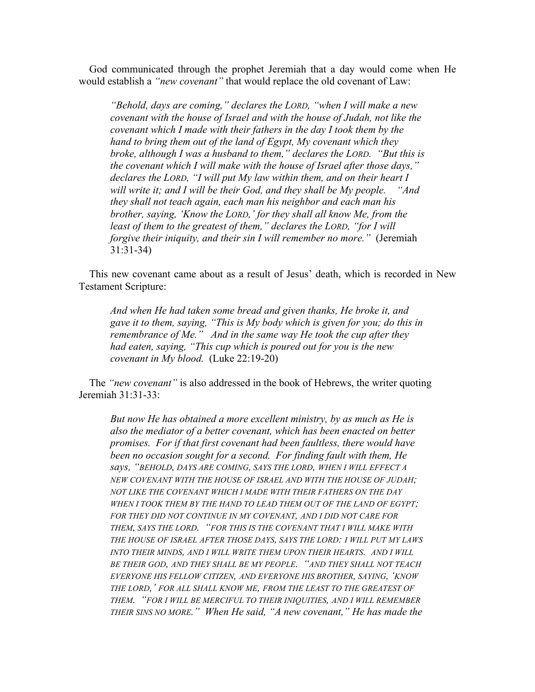God communicated through the prophet Jeremiah that a day would come when He would establish a *"new covenant"* that would replace the old covenant of Law:

*"Behold, days are coming," declares the LORD, "when I will make a new covenant with the house of Israel and with the house of Judah, not like the covenant which I made with their fathers in the day I took them by the hand to bring them out of the land of Egypt, My covenant which they broke, although I was a husband to them," declares the LORD. "But this is the covenant which I will make with the house of Israel after those days," declares the LORD, "I will put My law within them, and on their heart I will write it; and I will be their God, and they shall be My people. "And they shall not teach again, each man his neighbor and each man his brother, saying, 'Know the LORD,' for they shall all know Me, from the least of them to the greatest of them," declares the LORD, "for I will forgive their iniquity, and their sin I will remember no more."* (Jeremiah 31:31-34)

 This new covenant came about as a result of Jesus' death, which is recorded in New Testament Scripture:

*And when He had taken some bread and given thanks, He broke it, and gave it to them, saying, "This is My body which is given for you; do this in remembrance of Me." And in the same way He took the cup after they had eaten, saying, "This cup which is poured out for you is the new covenant in My blood.* (Luke 22:19-20)

 The *"new covenant"* is also addressed in the book of Hebrews, the writer quoting Jeremiah 31:31-33:

*But now He has obtained a more excellent ministry, by as much as He is also the mediator of a better covenant, which has been enacted on better promises. For if that first covenant had been faultless, there would have been no occasion sought for a second. For finding fault with them, He says, "BEHOLD, DAYS ARE COMING, SAYS THE LORD, WHEN I WILL EFFECT A NEW COVENANT WITH THE HOUSE OF ISRAEL AND WITH THE HOUSE OF JUDAH; NOT LIKE THE COVENANT WHICH I MADE WITH THEIR FATHERS ON THE DAY WHEN I TOOK THEM BY THE HAND TO LEAD THEM OUT OF THE LAND OF EGYPT; FOR THEY DID NOT CONTINUE IN MY COVENANT, AND I DID NOT CARE FOR THEM, SAYS THE LORD. "FOR THIS IS THE COVENANT THAT I WILL MAKE WITH THE HOUSE OF ISRAEL AFTER THOSE DAYS, SAYS THE LORD: I WILL PUT MY LAWS INTO THEIR MINDS, AND I WILL WRITE THEM UPON THEIR HEARTS. AND I WILL BE THEIR GOD, AND THEY SHALL BE MY PEOPLE. "AND THEY SHALL NOT TEACH EVERYONE HIS FELLOW CITIZEN, AND EVERYONE HIS BROTHER, SAYING, 'KNOW THE LORD,' FOR ALL SHALL KNOW ME, FROM THE LEAST TO THE GREATEST OF THEM. "FOR I WILL BE MERCIFUL TO THEIR INIQUITIES, AND I WILL REMEMBER THEIR SINS NO MORE." When He said, "A new covenant," He has made the*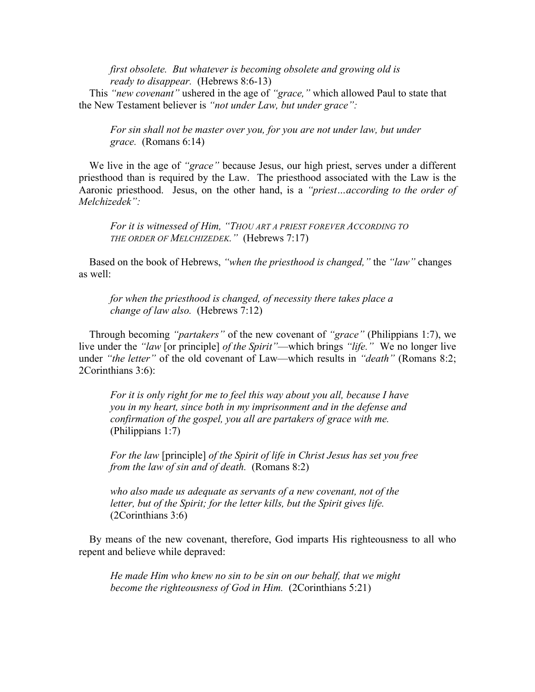*first obsolete. But whatever is becoming obsolete and growing old is ready to disappear.* (Hebrews 8:6-13)

 This *"new covenant"* ushered in the age of *"grace,"* which allowed Paul to state that the New Testament believer is *"not under Law, but under grace":*

*For sin shall not be master over you, for you are not under law, but under grace.* (Romans 6:14)

 We live in the age of *"grace"* because Jesus, our high priest, serves under a different priesthood than is required by the Law. The priesthood associated with the Law is the Aaronic priesthood. Jesus, on the other hand, is a *"priest…according to the order of Melchizedek":*

*For it is witnessed of Him, "THOU ART A PRIEST FOREVER ACCORDING TO THE ORDER OF MELCHIZEDEK."* (Hebrews 7:17)

 Based on the book of Hebrews, *"when the priesthood is changed,"* the *"law"* changes as well:

*for when the priesthood is changed, of necessity there takes place a change of law also.* (Hebrews 7:12)

 Through becoming *"partakers"* of the new covenant of *"grace"* (Philippians 1:7), we live under the *"law* [or principle] *of the Spirit"*—which brings *"life."* We no longer live under *"the letter"* of the old covenant of Law—which results in *"death"* (Romans 8:2; 2Corinthians 3:6):

*For it is only right for me to feel this way about you all, because I have you in my heart, since both in my imprisonment and in the defense and confirmation of the gospel, you all are partakers of grace with me.* (Philippians 1:7)

*For the law* [principle] *of the Spirit of life in Christ Jesus has set you free from the law of sin and of death.* (Romans 8:2)

*who also made us adequate as servants of a new covenant, not of the letter, but of the Spirit; for the letter kills, but the Spirit gives life.*  (2Corinthians 3:6)

 By means of the new covenant, therefore, God imparts His righteousness to all who repent and believe while depraved:

*He made Him who knew no sin to be sin on our behalf, that we might become the righteousness of God in Him.* (2Corinthians 5:21)